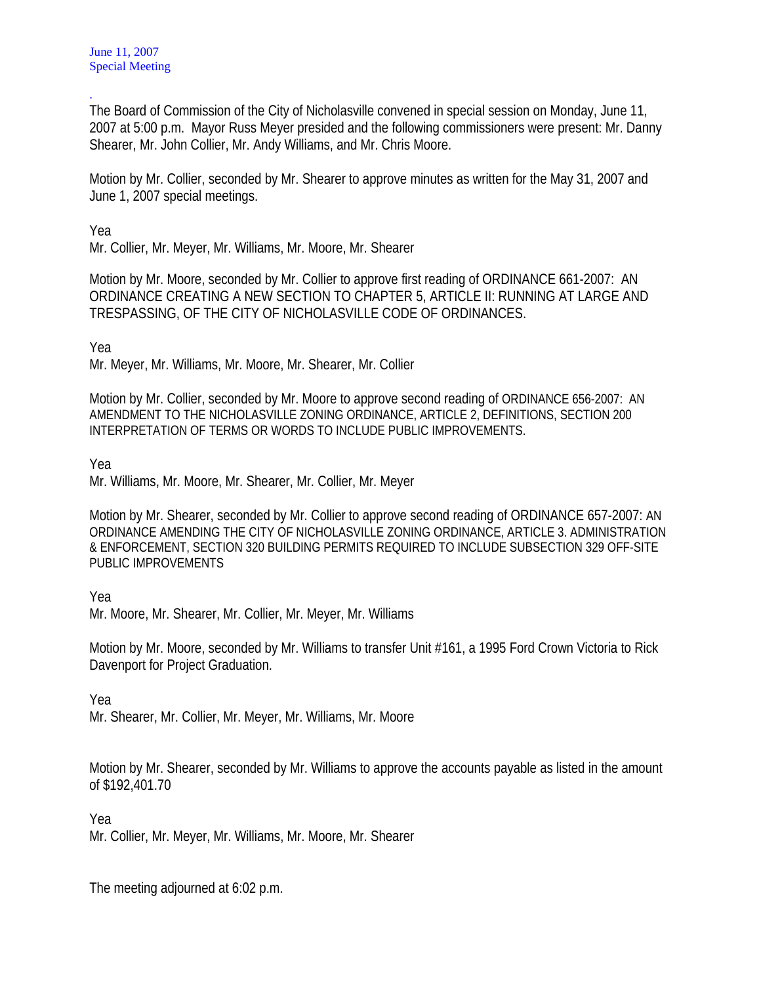. The Board of Commission of the City of Nicholasville convened in special session on Monday, June 11, 2007 at 5:00 p.m. Mayor Russ Meyer presided and the following commissioners were present: Mr. Danny Shearer, Mr. John Collier, Mr. Andy Williams, and Mr. Chris Moore.

Motion by Mr. Collier, seconded by Mr. Shearer to approve minutes as written for the May 31, 2007 and June 1, 2007 special meetings.

Yea

Mr. Collier, Mr. Meyer, Mr. Williams, Mr. Moore, Mr. Shearer

Motion by Mr. Moore, seconded by Mr. Collier to approve first reading of ORDINANCE 661-2007: AN ORDINANCE CREATING A NEW SECTION TO CHAPTER 5, ARTICLE II: RUNNING AT LARGE AND TRESPASSING, OF THE CITY OF NICHOLASVILLE CODE OF ORDINANCES.

Yea

Mr. Meyer, Mr. Williams, Mr. Moore, Mr. Shearer, Mr. Collier

Motion by Mr. Collier, seconded by Mr. Moore to approve second reading of ORDINANCE 656-2007: AN AMENDMENT TO THE NICHOLASVILLE ZONING ORDINANCE, ARTICLE 2, DEFINITIONS, SECTION 200 INTERPRETATION OF TERMS OR WORDS TO INCLUDE PUBLIC IMPROVEMENTS.

Yea

Mr. Williams, Mr. Moore, Mr. Shearer, Mr. Collier, Mr. Meyer

Motion by Mr. Shearer, seconded by Mr. Collier to approve second reading of ORDINANCE 657-2007: AN ORDINANCE AMENDING THE CITY OF NICHOLASVILLE ZONING ORDINANCE, ARTICLE 3. ADMINISTRATION & ENFORCEMENT, SECTION 320 BUILDING PERMITS REQUIRED TO INCLUDE SUBSECTION 329 OFF-SITE PUBLIC IMPROVEMENTS

Yea

Mr. Moore, Mr. Shearer, Mr. Collier, Mr. Meyer, Mr. Williams

Motion by Mr. Moore, seconded by Mr. Williams to transfer Unit #161, a 1995 Ford Crown Victoria to Rick Davenport for Project Graduation.

Yea

Mr. Shearer, Mr. Collier, Mr. Meyer, Mr. Williams, Mr. Moore

Motion by Mr. Shearer, seconded by Mr. Williams to approve the accounts payable as listed in the amount of \$192,401.70

Yea

Mr. Collier, Mr. Meyer, Mr. Williams, Mr. Moore, Mr. Shearer

The meeting adjourned at 6:02 p.m.